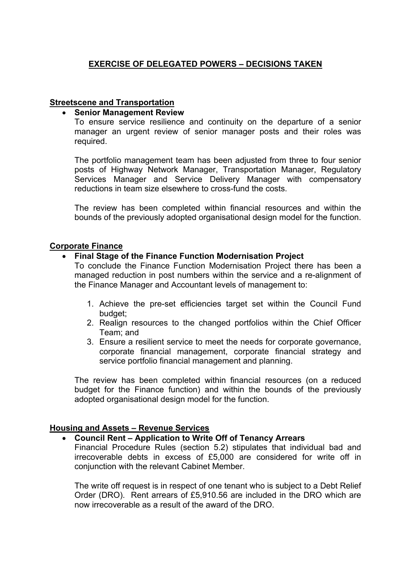# **EXERCISE OF DELEGATED POWERS – DECISIONS TAKEN**

#### **Streetscene and Transportation**

#### **Senior Management Review**

To ensure service resilience and continuity on the departure of a senior manager an urgent review of senior manager posts and their roles was required.

The portfolio management team has been adjusted from three to four senior posts of Highway Network Manager, Transportation Manager, Regulatory Services Manager and Service Delivery Manager with compensatory reductions in team size elsewhere to cross-fund the costs.

The review has been completed within financial resources and within the bounds of the previously adopted organisational design model for the function.

#### **Corporate Finance**

#### **Final Stage of the Finance Function Modernisation Project**

To conclude the Finance Function Modernisation Project there has been a managed reduction in post numbers within the service and a re-alignment of the Finance Manager and Accountant levels of management to:

- 1. Achieve the pre-set efficiencies target set within the Council Fund budget;
- 2. Realign resources to the changed portfolios within the Chief Officer Team; and
- 3. Ensure a resilient service to meet the needs for corporate governance, corporate financial management, corporate financial strategy and service portfolio financial management and planning.

The review has been completed within financial resources (on a reduced budget for the Finance function) and within the bounds of the previously adopted organisational design model for the function.

## **Housing and Assets – Revenue Services**

### **Council Rent – Application to Write Off of Tenancy Arrears**

Financial Procedure Rules (section 5.2) stipulates that individual bad and irrecoverable debts in excess of £5,000 are considered for write off in conjunction with the relevant Cabinet Member.

The write off request is in respect of one tenant who is subject to a Debt Relief Order (DRO). Rent arrears of £5,910.56 are included in the DRO which are now irrecoverable as a result of the award of the DRO.